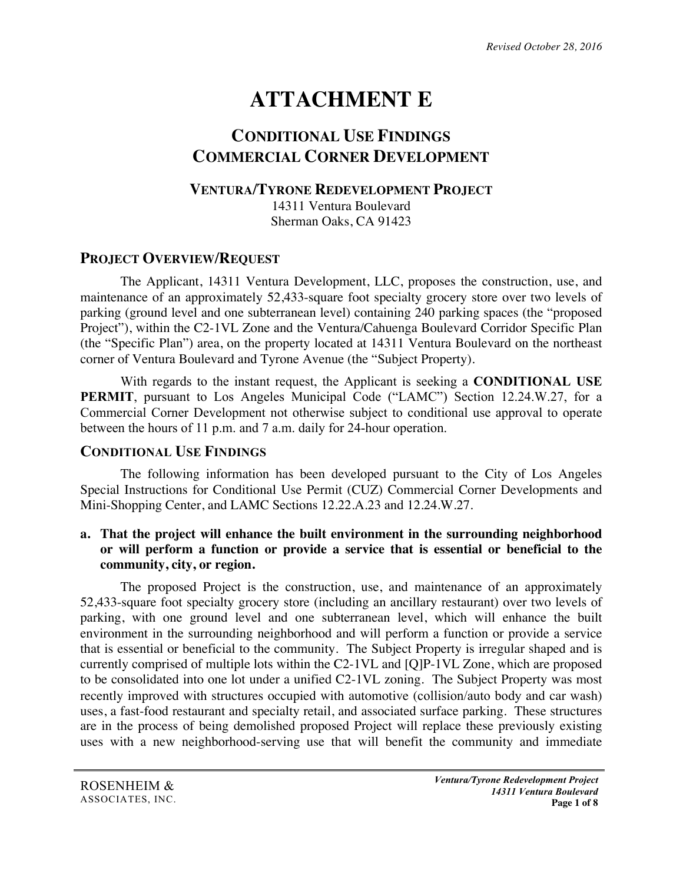# **ATTACHMENT E**

## **CONDITIONAL USE FINDINGS COMMERCIAL CORNER DEVELOPMENT**

#### **VENTURA/TYRONE REDEVELOPMENT PROJECT**

14311 Ventura Boulevard Sherman Oaks, CA 91423

## **PROJECT OVERVIEW/REQUEST**

The Applicant, 14311 Ventura Development, LLC, proposes the construction, use, and maintenance of an approximately 52,433-square foot specialty grocery store over two levels of parking (ground level and one subterranean level) containing 240 parking spaces (the "proposed Project"), within the C2-1VL Zone and the Ventura/Cahuenga Boulevard Corridor Specific Plan (the "Specific Plan") area, on the property located at 14311 Ventura Boulevard on the northeast corner of Ventura Boulevard and Tyrone Avenue (the "Subject Property).

With regards to the instant request, the Applicant is seeking a **CONDITIONAL USE PERMIT**, pursuant to Los Angeles Municipal Code ("LAMC") Section 12.24.W.27, for a Commercial Corner Development not otherwise subject to conditional use approval to operate between the hours of 11 p.m. and 7 a.m. daily for 24-hour operation.

#### **CONDITIONAL USE FINDINGS**

The following information has been developed pursuant to the City of Los Angeles Special Instructions for Conditional Use Permit (CUZ) Commercial Corner Developments and Mini-Shopping Center, and LAMC Sections 12.22.A.23 and 12.24.W.27.

#### **a. That the project will enhance the built environment in the surrounding neighborhood or will perform a function or provide a service that is essential or beneficial to the community, city, or region.**

The proposed Project is the construction, use, and maintenance of an approximately 52,433-square foot specialty grocery store (including an ancillary restaurant) over two levels of parking, with one ground level and one subterranean level, which will enhance the built environment in the surrounding neighborhood and will perform a function or provide a service that is essential or beneficial to the community. The Subject Property is irregular shaped and is currently comprised of multiple lots within the C2-1VL and [Q]P-1VL Zone, which are proposed to be consolidated into one lot under a unified C2-1VL zoning. The Subject Property was most recently improved with structures occupied with automotive (collision/auto body and car wash) uses, a fast-food restaurant and specialty retail, and associated surface parking. These structures are in the process of being demolished proposed Project will replace these previously existing uses with a new neighborhood-serving use that will benefit the community and immediate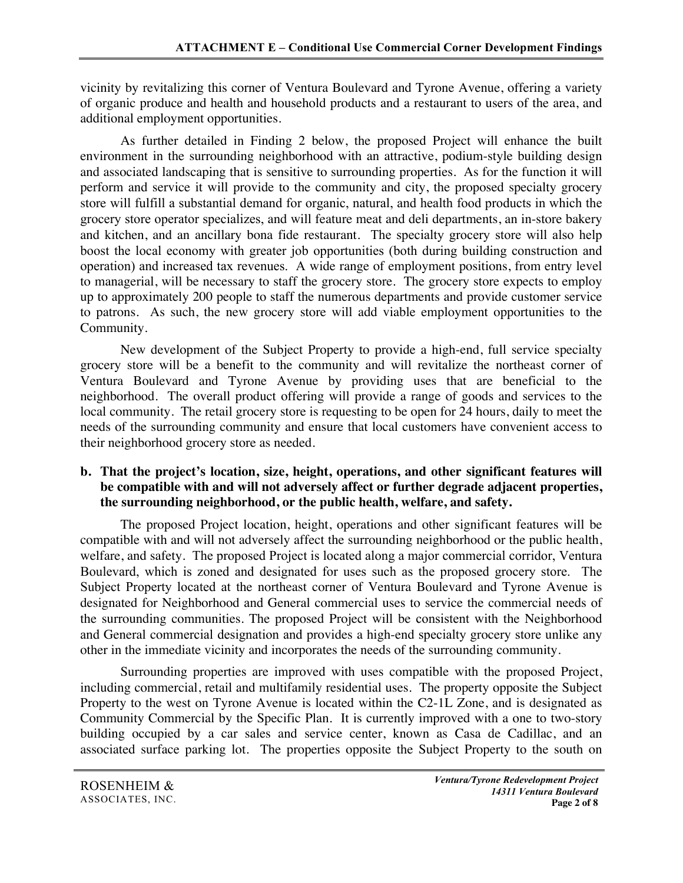vicinity by revitalizing this corner of Ventura Boulevard and Tyrone Avenue, offering a variety of organic produce and health and household products and a restaurant to users of the area, and additional employment opportunities.

As further detailed in Finding 2 below, the proposed Project will enhance the built environment in the surrounding neighborhood with an attractive, podium-style building design and associated landscaping that is sensitive to surrounding properties. As for the function it will perform and service it will provide to the community and city, the proposed specialty grocery store will fulfill a substantial demand for organic, natural, and health food products in which the grocery store operator specializes, and will feature meat and deli departments, an in-store bakery and kitchen, and an ancillary bona fide restaurant. The specialty grocery store will also help boost the local economy with greater job opportunities (both during building construction and operation) and increased tax revenues. A wide range of employment positions, from entry level to managerial, will be necessary to staff the grocery store. The grocery store expects to employ up to approximately 200 people to staff the numerous departments and provide customer service to patrons. As such, the new grocery store will add viable employment opportunities to the Community.

New development of the Subject Property to provide a high-end, full service specialty grocery store will be a benefit to the community and will revitalize the northeast corner of Ventura Boulevard and Tyrone Avenue by providing uses that are beneficial to the neighborhood. The overall product offering will provide a range of goods and services to the local community. The retail grocery store is requesting to be open for 24 hours, daily to meet the needs of the surrounding community and ensure that local customers have convenient access to their neighborhood grocery store as needed.

#### **b. That the project's location, size, height, operations, and other significant features will be compatible with and will not adversely affect or further degrade adjacent properties, the surrounding neighborhood, or the public health, welfare, and safety.**

The proposed Project location, height, operations and other significant features will be compatible with and will not adversely affect the surrounding neighborhood or the public health, welfare, and safety. The proposed Project is located along a major commercial corridor, Ventura Boulevard, which is zoned and designated for uses such as the proposed grocery store. The Subject Property located at the northeast corner of Ventura Boulevard and Tyrone Avenue is designated for Neighborhood and General commercial uses to service the commercial needs of the surrounding communities. The proposed Project will be consistent with the Neighborhood and General commercial designation and provides a high-end specialty grocery store unlike any other in the immediate vicinity and incorporates the needs of the surrounding community.

Surrounding properties are improved with uses compatible with the proposed Project, including commercial, retail and multifamily residential uses. The property opposite the Subject Property to the west on Tyrone Avenue is located within the C2-1L Zone, and is designated as Community Commercial by the Specific Plan. It is currently improved with a one to two-story building occupied by a car sales and service center, known as Casa de Cadillac, and an associated surface parking lot. The properties opposite the Subject Property to the south on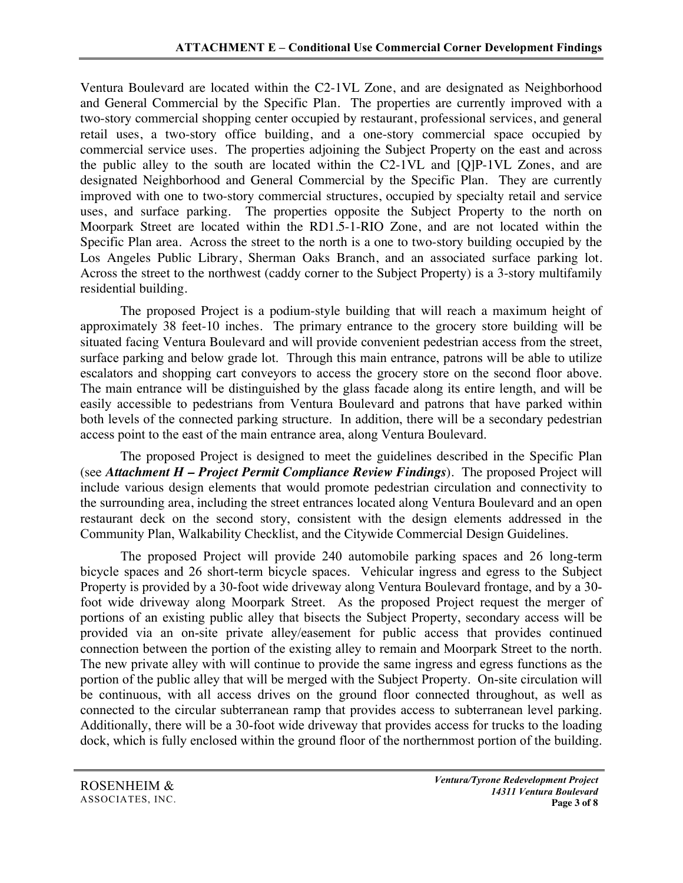Ventura Boulevard are located within the C2-1VL Zone, and are designated as Neighborhood and General Commercial by the Specific Plan. The properties are currently improved with a two-story commercial shopping center occupied by restaurant, professional services, and general retail uses, a two-story office building, and a one-story commercial space occupied by commercial service uses. The properties adjoining the Subject Property on the east and across the public alley to the south are located within the C2-1VL and [Q]P-1VL Zones, and are designated Neighborhood and General Commercial by the Specific Plan. They are currently improved with one to two-story commercial structures, occupied by specialty retail and service uses, and surface parking. The properties opposite the Subject Property to the north on Moorpark Street are located within the RD1.5-1-RIO Zone, and are not located within the Specific Plan area. Across the street to the north is a one to two-story building occupied by the Los Angeles Public Library, Sherman Oaks Branch, and an associated surface parking lot. Across the street to the northwest (caddy corner to the Subject Property) is a 3-story multifamily residential building.

The proposed Project is a podium-style building that will reach a maximum height of approximately 38 feet-10 inches. The primary entrance to the grocery store building will be situated facing Ventura Boulevard and will provide convenient pedestrian access from the street, surface parking and below grade lot. Through this main entrance, patrons will be able to utilize escalators and shopping cart conveyors to access the grocery store on the second floor above. The main entrance will be distinguished by the glass facade along its entire length, and will be easily accessible to pedestrians from Ventura Boulevard and patrons that have parked within both levels of the connected parking structure. In addition, there will be a secondary pedestrian access point to the east of the main entrance area, along Ventura Boulevard.

The proposed Project is designed to meet the guidelines described in the Specific Plan (see *Attachment H – Project Permit Compliance Review Findings*). The proposed Project will include various design elements that would promote pedestrian circulation and connectivity to the surrounding area, including the street entrances located along Ventura Boulevard and an open restaurant deck on the second story, consistent with the design elements addressed in the Community Plan, Walkability Checklist, and the Citywide Commercial Design Guidelines.

The proposed Project will provide 240 automobile parking spaces and 26 long-term bicycle spaces and 26 short-term bicycle spaces. Vehicular ingress and egress to the Subject Property is provided by a 30-foot wide driveway along Ventura Boulevard frontage, and by a 30 foot wide driveway along Moorpark Street. As the proposed Project request the merger of portions of an existing public alley that bisects the Subject Property, secondary access will be provided via an on-site private alley/easement for public access that provides continued connection between the portion of the existing alley to remain and Moorpark Street to the north. The new private alley with will continue to provide the same ingress and egress functions as the portion of the public alley that will be merged with the Subject Property. On-site circulation will be continuous, with all access drives on the ground floor connected throughout, as well as connected to the circular subterranean ramp that provides access to subterranean level parking. Additionally, there will be a 30-foot wide driveway that provides access for trucks to the loading dock, which is fully enclosed within the ground floor of the northernmost portion of the building.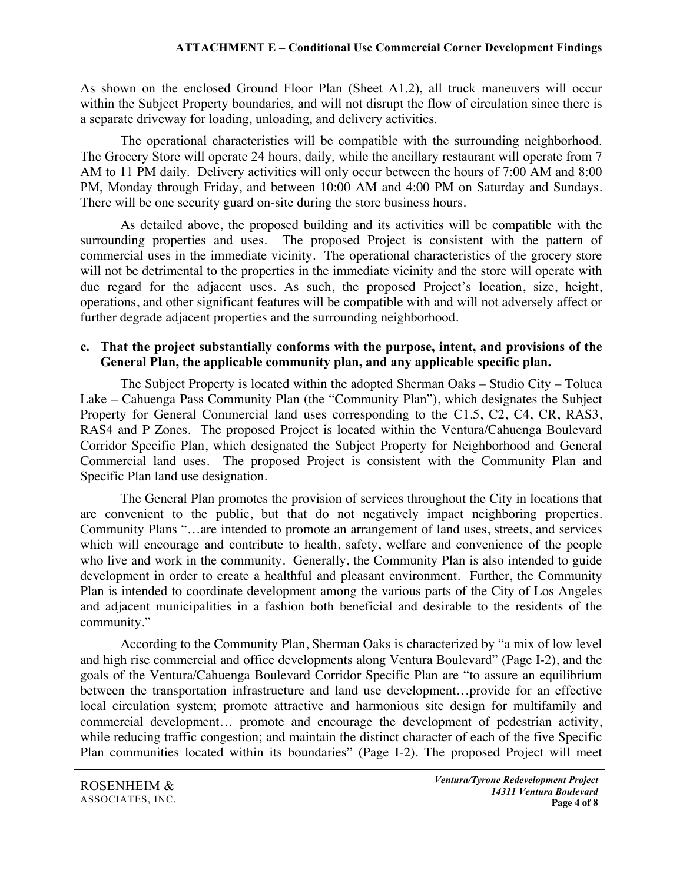As shown on the enclosed Ground Floor Plan (Sheet A1.2), all truck maneuvers will occur within the Subject Property boundaries, and will not disrupt the flow of circulation since there is a separate driveway for loading, unloading, and delivery activities.

The operational characteristics will be compatible with the surrounding neighborhood. The Grocery Store will operate 24 hours, daily, while the ancillary restaurant will operate from 7 AM to 11 PM daily. Delivery activities will only occur between the hours of 7:00 AM and 8:00 PM, Monday through Friday, and between 10:00 AM and 4:00 PM on Saturday and Sundays. There will be one security guard on-site during the store business hours.

As detailed above, the proposed building and its activities will be compatible with the surrounding properties and uses. The proposed Project is consistent with the pattern of commercial uses in the immediate vicinity. The operational characteristics of the grocery store will not be detrimental to the properties in the immediate vicinity and the store will operate with due regard for the adjacent uses. As such, the proposed Project's location, size, height, operations, and other significant features will be compatible with and will not adversely affect or further degrade adjacent properties and the surrounding neighborhood.

#### **c. That the project substantially conforms with the purpose, intent, and provisions of the General Plan, the applicable community plan, and any applicable specific plan.**

The Subject Property is located within the adopted Sherman Oaks – Studio City – Toluca Lake – Cahuenga Pass Community Plan (the "Community Plan"), which designates the Subject Property for General Commercial land uses corresponding to the C1.5, C2, C4, CR, RAS3, RAS4 and P Zones. The proposed Project is located within the Ventura/Cahuenga Boulevard Corridor Specific Plan, which designated the Subject Property for Neighborhood and General Commercial land uses. The proposed Project is consistent with the Community Plan and Specific Plan land use designation.

The General Plan promotes the provision of services throughout the City in locations that are convenient to the public, but that do not negatively impact neighboring properties. Community Plans "…are intended to promote an arrangement of land uses, streets, and services which will encourage and contribute to health, safety, welfare and convenience of the people who live and work in the community. Generally, the Community Plan is also intended to guide development in order to create a healthful and pleasant environment. Further, the Community Plan is intended to coordinate development among the various parts of the City of Los Angeles and adjacent municipalities in a fashion both beneficial and desirable to the residents of the community."

According to the Community Plan, Sherman Oaks is characterized by "a mix of low level and high rise commercial and office developments along Ventura Boulevard" (Page I-2), and the goals of the Ventura/Cahuenga Boulevard Corridor Specific Plan are "to assure an equilibrium between the transportation infrastructure and land use development…provide for an effective local circulation system; promote attractive and harmonious site design for multifamily and commercial development… promote and encourage the development of pedestrian activity, while reducing traffic congestion; and maintain the distinct character of each of the five Specific Plan communities located within its boundaries" (Page I-2). The proposed Project will meet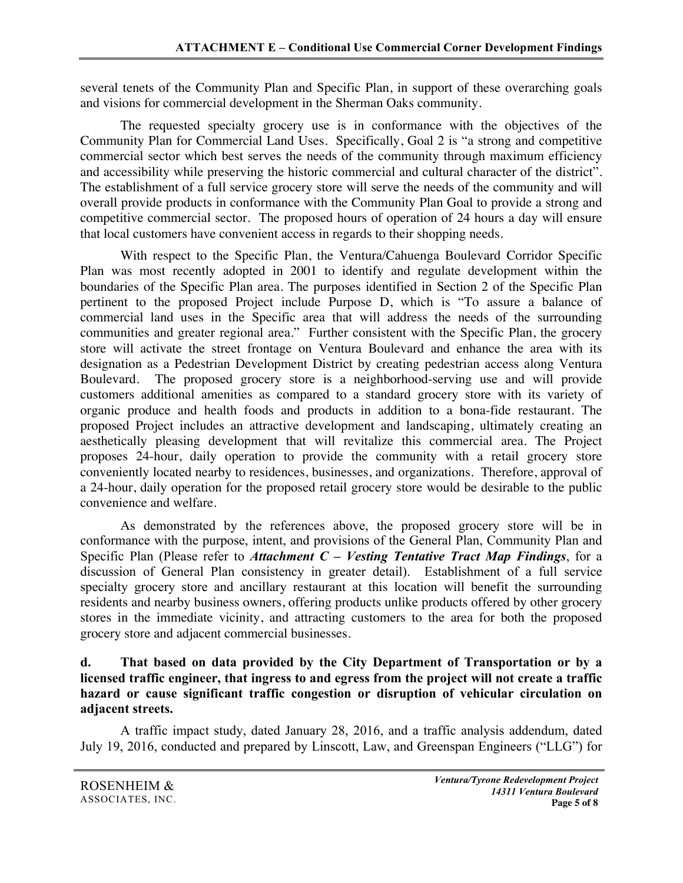several tenets of the Community Plan and Specific Plan, in support of these overarching goals and visions for commercial development in the Sherman Oaks community.

The requested specialty grocery use is in conformance with the objectives of the Community Plan for Commercial Land Uses. Specifically, Goal 2 is "a strong and competitive commercial sector which best serves the needs of the community through maximum efficiency and accessibility while preserving the historic commercial and cultural character of the district". The establishment of a full service grocery store will serve the needs of the community and will overall provide products in conformance with the Community Plan Goal to provide a strong and competitive commercial sector. The proposed hours of operation of 24 hours a day will ensure that local customers have convenient access in regards to their shopping needs.

With respect to the Specific Plan, the Ventura/Cahuenga Boulevard Corridor Specific Plan was most recently adopted in 2001 to identify and regulate development within the boundaries of the Specific Plan area. The purposes identified in Section 2 of the Specific Plan pertinent to the proposed Project include Purpose D, which is "To assure a balance of commercial land uses in the Specific area that will address the needs of the surrounding communities and greater regional area." Further consistent with the Specific Plan, the grocery store will activate the street frontage on Ventura Boulevard and enhance the area with its designation as a Pedestrian Development District by creating pedestrian access along Ventura Boulevard. The proposed grocery store is a neighborhood-serving use and will provide customers additional amenities as compared to a standard grocery store with its variety of organic produce and health foods and products in addition to a bona-fide restaurant. The proposed Project includes an attractive development and landscaping, ultimately creating an aesthetically pleasing development that will revitalize this commercial area. The Project proposes 24-hour, daily operation to provide the community with a retail grocery store conveniently located nearby to residences, businesses, and organizations. Therefore, approval of a 24-hour, daily operation for the proposed retail grocery store would be desirable to the public convenience and welfare.

As demonstrated by the references above, the proposed grocery store will be in conformance with the purpose, intent, and provisions of the General Plan, Community Plan and Specific Plan (Please refer to *Attachment C – Vesting Tentative Tract Map Findings*, for a discussion of General Plan consistency in greater detail). Establishment of a full service specialty grocery store and ancillary restaurant at this location will benefit the surrounding residents and nearby business owners, offering products unlike products offered by other grocery stores in the immediate vicinity, and attracting customers to the area for both the proposed grocery store and adjacent commercial businesses.

**d. That based on data provided by the City Department of Transportation or by a licensed traffic engineer, that ingress to and egress from the project will not create a traffic hazard or cause significant traffic congestion or disruption of vehicular circulation on adjacent streets.**

A traffic impact study, dated January 28, 2016, and a traffic analysis addendum, dated July 19, 2016, conducted and prepared by Linscott, Law, and Greenspan Engineers ("LLG") for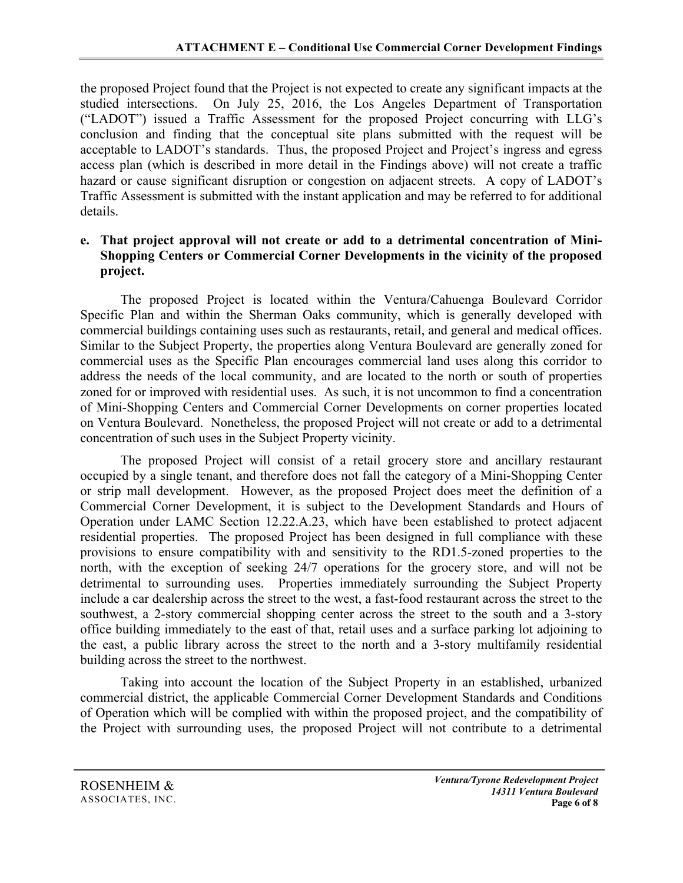the proposed Project found that the Project is not expected to create any significant impacts at the studied intersections. On July 25, 2016, the Los Angeles Department of Transportation ("LADOT") issued a Traffic Assessment for the proposed Project concurring with LLG's conclusion and finding that the conceptual site plans submitted with the request will be acceptable to LADOT's standards. Thus, the proposed Project and Project's ingress and egress access plan (which is described in more detail in the Findings above) will not create a traffic hazard or cause significant disruption or congestion on adjacent streets. A copy of LADOT's Traffic Assessment is submitted with the instant application and may be referred to for additional details.

#### **e. That project approval will not create or add to a detrimental concentration of Mini-Shopping Centers or Commercial Corner Developments in the vicinity of the proposed project.**

The proposed Project is located within the Ventura/Cahuenga Boulevard Corridor Specific Plan and within the Sherman Oaks community, which is generally developed with commercial buildings containing uses such as restaurants, retail, and general and medical offices. Similar to the Subject Property, the properties along Ventura Boulevard are generally zoned for commercial uses as the Specific Plan encourages commercial land uses along this corridor to address the needs of the local community, and are located to the north or south of properties zoned for or improved with residential uses. As such, it is not uncommon to find a concentration of Mini-Shopping Centers and Commercial Corner Developments on corner properties located on Ventura Boulevard. Nonetheless, the proposed Project will not create or add to a detrimental concentration of such uses in the Subject Property vicinity.

The proposed Project will consist of a retail grocery store and ancillary restaurant occupied by a single tenant, and therefore does not fall the category of a Mini-Shopping Center or strip mall development. However, as the proposed Project does meet the definition of a Commercial Corner Development, it is subject to the Development Standards and Hours of Operation under LAMC Section 12.22.A.23, which have been established to protect adjacent residential properties. The proposed Project has been designed in full compliance with these provisions to ensure compatibility with and sensitivity to the RD1.5-zoned properties to the north, with the exception of seeking 24/7 operations for the grocery store, and will not be detrimental to surrounding uses. Properties immediately surrounding the Subject Property include a car dealership across the street to the west, a fast-food restaurant across the street to the southwest, a 2-story commercial shopping center across the street to the south and a 3-story office building immediately to the east of that, retail uses and a surface parking lot adjoining to the east, a public library across the street to the north and a 3-story multifamily residential building across the street to the northwest.

Taking into account the location of the Subject Property in an established, urbanized commercial district, the applicable Commercial Corner Development Standards and Conditions of Operation which will be complied with within the proposed project, and the compatibility of the Project with surrounding uses, the proposed Project will not contribute to a detrimental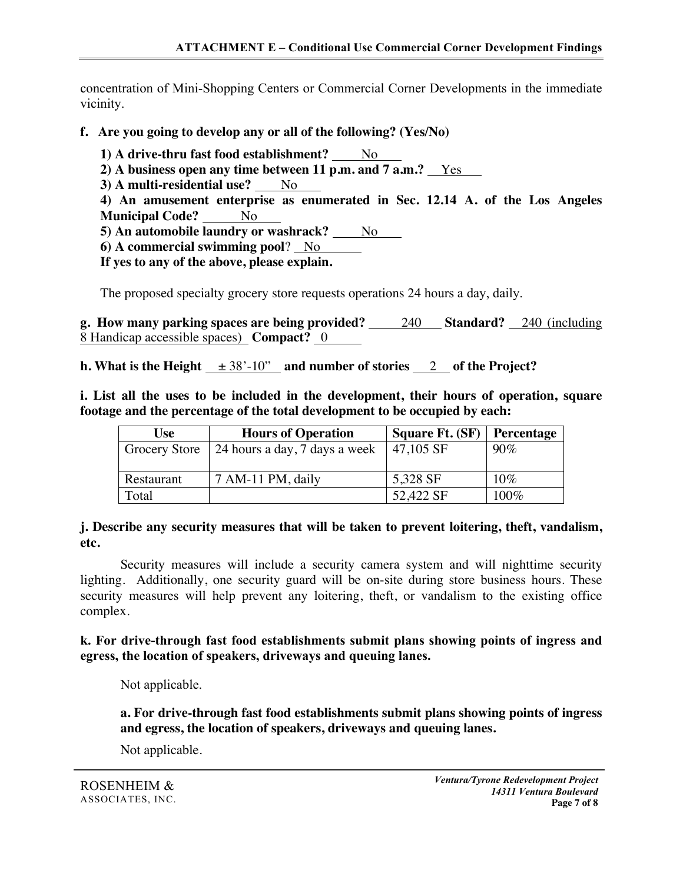concentration of Mini-Shopping Centers or Commercial Corner Developments in the immediate vicinity.

- **f. Are you going to develop any or all of the following? (Yes/No)**
	- **1) A drive-thru fast food establishment?** No
	- **2) A business open any time between 11 p.m. and 7 a.m.?** Yes
	- **3)** A multi-residential use? No

**4) An amusement enterprise as enumerated in Sec. 12.14 A. of the Los Angeles Municipal Code?** No

**5) An automobile laundry or washrack?** No

**6) A commercial swimming pool**? No

**If yes to any of the above, please explain.**

The proposed specialty grocery store requests operations 24 hours a day, daily.

**g. How many parking spaces are being provided?** 240 **Standard?** 240 (including 8 Handicap accessible spaces) **Compact?** 0

**h.** What is the Height  $\pm 38' \cdot 10''$  and number of stories 2 of the Project?

**i. List all the uses to be included in the development, their hours of operation, square footage and the percentage of the total development to be occupied by each:**

| Use        | <b>Hours of Operation</b>                     | <b>Square Ft. (SF)</b> | Percentage |
|------------|-----------------------------------------------|------------------------|------------|
|            | Grocery Store   24 hours a day, 7 days a week | $ 47,105$ SF           | $90\%$     |
|            |                                               |                        |            |
| Restaurant | 7 AM-11 PM, daily                             | 5,328 SF               | 10%        |
| Total      |                                               | 52,422 SF              | $100\%$    |

**j. Describe any security measures that will be taken to prevent loitering, theft, vandalism, etc.**

Security measures will include a security camera system and will nighttime security lighting. Additionally, one security guard will be on-site during store business hours. These security measures will help prevent any loitering, theft, or vandalism to the existing office complex.

#### **k. For drive-through fast food establishments submit plans showing points of ingress and egress, the location of speakers, driveways and queuing lanes.**

Not applicable.

**a. For drive-through fast food establishments submit plans showing points of ingress and egress, the location of speakers, driveways and queuing lanes.**

Not applicable.